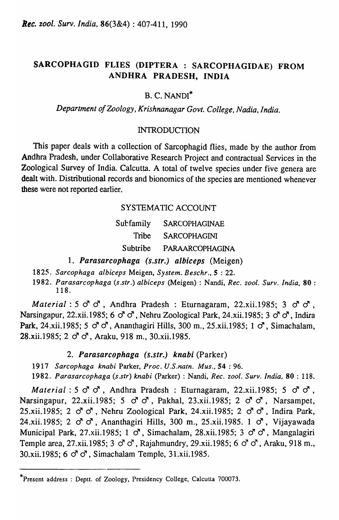# SARCOPHAGID FLIES (DIPTERA : SARCOPHAGIDAE) FROM ANDHRA PRADESH, INDIA

## B. C. NANDI\*

## *Department of Zoology, Krishnanagar Govt. College, Nadia, India.*

### INTRODUCTION

This paper deals with a collection of Sarcophagid flies, made by the author from Andhra Pradesh, under Collaborative Research Project and contractual Services in the Zoological Survey of India. Calcutta. A total of twelve species under five genera are dealt with. Distributional records and bionomics of the species are mentioned whenever these were not reported earlier.

## SYSTEMATIC ACCOUNT

| Subfamily | <b>SARCOPHAGINAE</b> |
|-----------|----------------------|
| Tribe     | <b>SARCOPHAGINI</b>  |
| Subtribe  | PARAARCOPHAGINA      |

- 1. Parasarcophaga (s.str.) albiceps (Meigen)
- *1825. Sarcophaga alhiceps* Meigen, *System. Beschr.,* S : 22.
- *1982. Parasarcophaga (s.str.) alhiceps* (Meigen) : Nandi, *Rec. zool. Surv. India,* 80 : 118.

*Material:*  $5 \circ 3 \circ 7$ , Andhra Pradesh: Eturnagaram, 22.xii.1985;  $3 \circ 7 \circ 7$ , Narsingapur, 22.xii.1985; 6  $\sigma$   $\sigma$ , Nehru Zoological Park, 24.xii.1985; 3  $\sigma$   $\sigma$ , Indira Park, 24.xii.1985;  $5 \circ \sigma \circ \sigma$ , Ananthagiri Hills, 300 m., 25.xii.1985; 1  $\sigma$ , Simachalam,  $28. xii.1985$ ;  $2 \text{ } \sigma \sigma$ , Araku, 918 m., 30.xii.1985.

## 2. Parasarcophaga (s.str.) knabi (Parker)

*1917 Sarcophaga knabi* Parker, *Proc. U.S.natn. Mus.,* S4 : 96.

*1982. Parasarcophaga (s.str) knabi* (Parker) : Nandi, *Rec. zool. Surv. India,* 80 : 118.

*Material:*  $5 \circ 3 \circ 7$ , Andhra Pradesh: Eturnagaram, 22.xii.1985;  $5 \circ 3 \circ 7$ , Narsingapur, 22.xii.1985;  $5 \circ \sigma \circ \sigma$ , Pakhal, 23.xii.1985;  $2 \circ \sigma \circ \sigma$ , Narsampet, 25.xii.1985; 2  $\sigma$   $\sigma$ , Nehru Zoological Park, 24.xii.1985; 2  $\sigma$   $\sigma$ , Indira Park, 24.xii.1985; 2  $\sigma$   $\sigma$ , Ananthagiri Hills, 300 m., 25.xii.1985. 1  $\sigma$ , Vijayawada Municipal Park, 27.xii.1985; 1  $\sigma$ , Simachalam, 28.xii.1985; 3  $\sigma$   $\sigma$ , Mangalagiri Temple area, 27.xii.1985;  $3 \circ \sigma \circ \sigma$ , Rajahmundry, 29.xii.1985;  $6 \circ \sigma \circ \sigma$ , Araku, 918 m., 30.xii.1985; 6  $\sigma$   $\sigma$ , Simachalam Temple, 31.xii.1985.

<sup>·</sup>Present address ; Deptt. of Zoology, Presidency College, Calcutta 700073.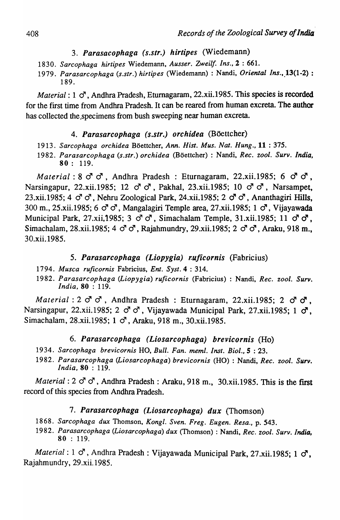- *3.* Parasacophaga (s.str.) hirtipes (Wiedemann)
- 1830. *Sarcophaga hirtipes* Wiedemann, *Ausser. Zweil[. Ins.,* 2 : 661.
- 1979. Parasarcophaga (s.str.) hirtipes (Wiedemann) : Nandi, Oriental Ins., 13(1-2) : 189.

*Material*:  $1 \circ$ , Andhra Pradesh, Eturnagaram, 22.xii.1985. This species is recorded for the first time from Andhra Pradesh. It can be reared from human excreta. The author has collected the .specimens from bush sweeping near human excreta.

### 4. Parasarcophaga (s.str.) orchidea (Böettcher)

- 1913. *Sarcophaga orchidea* Boettcher, *Ann. Hist. Mus. Nat. Hung.,* 11 : 375.
- 1982. *Parasarcophaga (s.str.) orchidea* (Boettcher) : Nandi, *Rec. zool. Surv. India,*  80: 119.

*Material*: 8  $\sigma$   $\sigma$ , Andhra Pradesh: Eturnagaram, 22.xii.1985; 6  $\sigma$   $\sigma$ , Narsingapur, 22.xii.1985; 12  $\sigma$   $\sigma$ , Pakhal, 23.xii.1985; 10  $\sigma$   $\sigma$ , Narsampet, 23.xii.1985; 4  $\sigma$   $\sigma$ , Nehru Zoological Park, 24.xii.1985; 2  $\sigma$   $\sigma$ , Ananthagiri Hills, 300 m., 25.xii.1985; 6  $\sigma$   $\sigma$ , Mangalagiri Temple area, 27.xii.1985; 1  $\sigma$ , Vijayawada Municipal Park, 27.xii,1985; 3  $\sigma \sigma$ , Simachalam Temple, 31.xii.1985; 11  $\sigma \sigma$ , Simachalam, 28.xii.1985; 4  $\sigma$   $\sigma$ , Rajahmundry, 29.xii.1985; 2  $\sigma$   $\sigma$ , Araku, 918 m., 30.xii.1985.

## 5. Parasarcophaga (Liopygia) ruficornis (Fabricius)

- 1794. *Musca ruficornis* Fabricius, Ent. *Syst.4* : 314.
- 1982. *Parasarcophaga (Liopygia) ruficornis* (Fabricius) : Nandi, *Rec. zool. Surv. India,* 80 : 119.

*Material:*  $2 \circ \sigma \circ$ *, Andhra Pradesh: Eturnagaram, 22.xii.1985; 2*  $\sigma \circ \sigma$ *,* Narsingapur, 22.xii.1985; 2  $\sigma$   $\sigma$ , Vijayawada Municipal Park, 27.xii.1985; 1  $\sigma$ . Simachalam, 28.xii.1985; 1  $\sigma$ , Araku, 918 m., 30.xii.1985.

## 6. Parasarcophaga (Liosarcophaga) brevicornis (Ho)

- 1934. *Sarcophaga brevicornis* HO, *Bull. Fan. meml. Inst. Bioi.,* 5 : 23.
- 1982. *Parasarcophaga (Liosarcophaga) brevicornis* (HO) : Nandi, *Rec. zool. Surv. India,* 80 : 119.

*Material*:  $2 \circ \sigma \circ$ , Andhra Pradesh: Araku, 918 m., 30.xii.1985. This is the first record of this species from Andhra Pradesh.

#### 7. Parasarcophaga (Liosarcophaga) dux (Thomson)

- 1868. *Sarcophaga dux* Thomson, *Kong* I. *Sven. Freg. Eugen. Resa.,* p. 543.
- 1982. *Parasarcophaga (Liosarcophaga) dux* (Thomson) : Nandi, *Rec. zool. Surv. India,*  80 : 119.

*Material*: 1  $\sigma$ , Andhra Pradesh: Vijayawada Municipal Park, 27.xii.1985; 1  $\sigma$ , Rajahmundry, 29.xii.198S.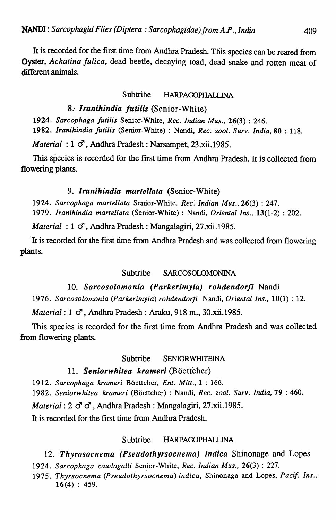It is recorded for the first time from Andhra Pradesh. This species can be reared from Oyster, *Achatina fulica,* dead beetle, decaying toad, dead snake and rotten meat of different animals.

## Subtribe HARPAGOPHALLINA

# 8.' *lranihindia Jutilis* (Senior-White)

1924. Sarcophaga *futilis* Senior-White, *Rec. Indian Mus.*, 26(3) : 246. *1982. Iranihindia Jutilis* (Senior-White) : Nandi, *Rec.* 2001. *Surv. India,* 80 : 118.

*Material* : 1  $\sigma$ , Andhra Pradesh: Narsampet, 23.xii.1985.

This species is recorded for the first time from Andhra Pradesh. It is collected from flowering plants.

# 9. *Iranihindia martellata* (Senior-White)

*1924. Sarcophaga martellata* Senior-White. *Rec: Indian Mus.,* 26(3) : 247. *1979. Iranihindia martellata* (Senior-White) : Nandi, *Oriental Ins.,* 13(1-2) : 202.

*Material* :  $1 \circ$ , Andhra Pradesh: Mangalagiri, 27, xii, 1985.

. It is recorded for the first time from Andhra Pradesh and was collected from flowering plants.

## Subtribe SARCOSOLOMONINA

# *10. Sarcosolomonia (Parkerimyia) rohdendorfi* Nandi

*1976. Sarcosolomonia (Parkerimyia) rohdendorfi* Nandi, *Oriental Ins.,* 10(1) : 12.

*Material:* 1  $\sigma$ , Andhra Pradesh: Araku, 918 m., 30.xii, 1985.

This species is recorded for the first time from Andhra Pradesh and was collected from flowering plants.

## Subtribe SENIORWHITEINA

# 11. Seniorwhitea krameri *(Böettcher)*

*1912. Sarcophaga krameri* Boettcher, *Ent. Mitt.,* 1 : 166. *1982. Seniorwhitea krameri* (Boettcher) : Nandi, *Rec.* 2001. *Surv. India,* 79 : 460. *Material:*  $2 \circ \sigma$ *, Andhra Pradesh: Mangalagiri, 27.xii.1985.* It is recorded for the first time from Andhra Pradesh.

## Subtribe HARPAGOPHALUNA

*12. Thyrosocnema (Pseudothyrsocnema) indica* Shinonage and Lopes

1924. Sarcophaga caudagalli Senior-White, *Rec. Indian Mus.*, 26(3): 227.

*1975. Thyrsocnema (Pseudothyrsocnema) indica,* Shinonaga and Lopes, *Pacif Ins.,*   $16(4) : 459.$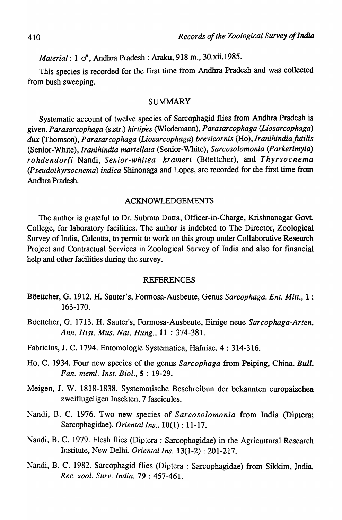*Material*: 1  $\sigma$ , Andhra Pradesh: Araku, 918 m., 30.xii.1985.

This species is recorded for the first time from Andhra Pradesh and was collected from bush sweeping.

#### SUMMARY

Systematic account of twelve species of Sarcophagid flies from Andhra Pradesh is given. *Parasarcophaga* (s.str.) *hirtipes* (Wiedemann), *Parasarcophaga (Liosarcophaga) dux* (Thomson), *Parasarcophaga (Liosarcophaga) brevicornis* (Ho), *Iranihindiafutilis*  (Senior-White), *Iranihindia martellata* (Senior-\\'hite), *Sarcosolomonia (Parkerimyia) rohdendorfi* Nandi, *Senior-whitea krameri* (Boettcher), and *Thyrsocnema (Pseudothyrsocnema) indica* Shinonaga and Lopes, are recorded for the first time from Andhra Pradesh.

#### ACKNOWLEDGEMENTS

The author is grateful to Dr. Subrata Dutta, Officer-in-Charge, Krishnanagar Govt. College, for laboratory facilities. The author is indebted to The Director, Zoological Survey of India, Calcutta, to permit to work on this group under Collaborative Research Project and Contractual Services in Zoological Survey of India and also for financial help and other facilities during the survey.

#### REFERENCES

- Boettcher, G. 1912. H. Sauter's, Formosa-Ausbeute, Genus *Sarcophaga. Ent. Mitt.,* 1 : 163-170.
- Boettcher, G. 1713. H. Sauter's, Formosa-Ausbeute, Einige neue *Sarcophaga-Arten. Ann. Hist. Mus. Nat. Hung.,* 11 : 374-381.
- Fabricius, J. C. 1794. Entomologie Systematica, Hafniae. 4 : 314-316.
- Ho, C. 1934. Four new species of the genus *Sarcophaga* from Peiping, China. *Bull. Fan. meml. [nst. Bioi.,* 5 : 19-29.
- Meigen, J. W. 1818-1838. Systematische Beschreibun der bekannten europaischen zweiflugeligen Insekten, 7 fascicules.
- Nandi, B. C. 1976. Two new species of *Sarcosolomonia* from India (Diptera; Sarcophagidae). *Oriental Ins.,* 10(1) : 11-17.
- Nandi, B. C. 1979. Flesh flies (Diptera : Sarcophagidae) in the Agricuitural Research Institute, New Delhi. *Oriental Ins.* 13(1-2) : 201-217.
- Nandi, B. C. 1982. Sarcophagid flies (Diptera : Sarcophagidae) from Sikkim, lndia. *Rec. zool. Surv. India,* 79 : 457-461.